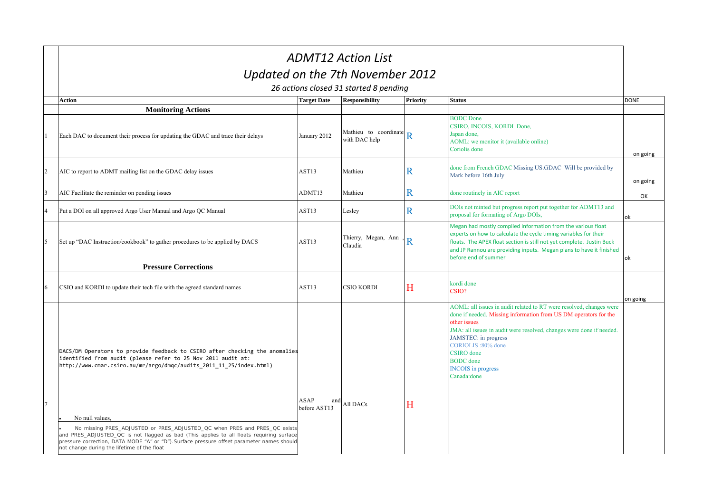| <b>ADMT12 Action List</b>                                                                                                                                                                                                                                                                                                             |                             |                                        |                 |                                                                                                                                                                                                                                                                                                                                                             |             |  |  |
|---------------------------------------------------------------------------------------------------------------------------------------------------------------------------------------------------------------------------------------------------------------------------------------------------------------------------------------|-----------------------------|----------------------------------------|-----------------|-------------------------------------------------------------------------------------------------------------------------------------------------------------------------------------------------------------------------------------------------------------------------------------------------------------------------------------------------------------|-------------|--|--|
|                                                                                                                                                                                                                                                                                                                                       |                             | Updated on the 7th November 2012       |                 |                                                                                                                                                                                                                                                                                                                                                             |             |  |  |
|                                                                                                                                                                                                                                                                                                                                       |                             | 26 actions closed 31 started 8 pending |                 |                                                                                                                                                                                                                                                                                                                                                             |             |  |  |
| <b>Action</b>                                                                                                                                                                                                                                                                                                                         | <b>Target Date</b>          | <b>Responsibility</b>                  | <b>Priority</b> | <b>Status</b>                                                                                                                                                                                                                                                                                                                                               | <b>DONE</b> |  |  |
| <b>Monitoring Actions</b>                                                                                                                                                                                                                                                                                                             |                             |                                        |                 |                                                                                                                                                                                                                                                                                                                                                             |             |  |  |
| Each DAC to document their process for updating the GDAC and trace their delays                                                                                                                                                                                                                                                       | January 2012                | Mathieu to coordinate<br>with DAC help | Ŕ               | <b>BODC</b> Done<br>CSIRO, INCOIS, KORDI Done,<br>Japan done,<br>AOML: we monitor it (available online)<br>Coriolis done                                                                                                                                                                                                                                    | on going    |  |  |
| AIC to report to ADMT mailing list on the GDAC delay issues                                                                                                                                                                                                                                                                           | AST <sub>13</sub>           | Mathieu                                | R               | done from French GDAC Missing US.GDAC Will be provided by<br>Mark before 16th July                                                                                                                                                                                                                                                                          | on going    |  |  |
| AIC Facilitate the reminder on pending issues                                                                                                                                                                                                                                                                                         | ADMT13                      | Mathieu                                | R               | done routinely in AIC report                                                                                                                                                                                                                                                                                                                                | OK          |  |  |
| Put a DOI on all approved Argo User Manual and Argo QC Manual                                                                                                                                                                                                                                                                         | AST13                       | Lesley                                 | $\mathbf R$     | DOIs not minted but progress report put together for ADMT13 and<br>proposal for formating of Argo DOIs,                                                                                                                                                                                                                                                     | ok          |  |  |
| Set up "DAC Instruction/cookbook" to gather procedures to be applied by DACS                                                                                                                                                                                                                                                          | AST13                       | Thierry, Megan, Ann<br>Claudia         | R               | Megan had mostly compiled information from the various float<br>experts on how to calculate the cycle timing variables for their<br>floats. The APEX float section is still not yet complete. Justin Buck<br>and JP Rannou are providing inputs. Megan plans to have it finished<br>before end of summer                                                    | ok          |  |  |
| <b>Pressure Corrections</b>                                                                                                                                                                                                                                                                                                           |                             |                                        |                 |                                                                                                                                                                                                                                                                                                                                                             |             |  |  |
| CSIO and KORDI to update their tech file with the agreed standard names                                                                                                                                                                                                                                                               | AST <sub>13</sub>           | <b>CSIO KORDI</b>                      | H               | kordi done<br>CSIO?                                                                                                                                                                                                                                                                                                                                         | on going    |  |  |
| DACS/DM Operators to provide feedback to CSIRO after checking the anomalies<br>identified from audit (please refer to 25 Nov 2011 audit at:<br>http://www.cmar.csiro.au/mr/argo/dmqc/audits 2011 11 25/index.html)                                                                                                                    | ASAP<br>and<br>before AST13 | All DACs                               | Н               | AOML: all issues in audit related to RT were resolved, changes were<br>done if needed. Missing information from US DM operators for the<br>other issues<br>JMA: all issues in audit were resolved, changes were done if needed.<br>JAMSTEC: in progress<br>CORIOLIS: 80% done<br>CSIRO done<br><b>BODC</b> done<br><b>INCOIS</b> in progress<br>Canada:done |             |  |  |
| No null values.<br>No missing PRES_ADJUSTED or PRES_ADJUSTED_QC when PRES and PRES_QC exists<br>and PRES_ADJUSTED_QC is not flagged as bad (This applies to all floats requiring surface<br>pressure correction, DATA MODE "A" or "D"). Surface pressure offset parameter names should<br>not change during the lifetime of the float |                             |                                        |                 |                                                                                                                                                                                                                                                                                                                                                             |             |  |  |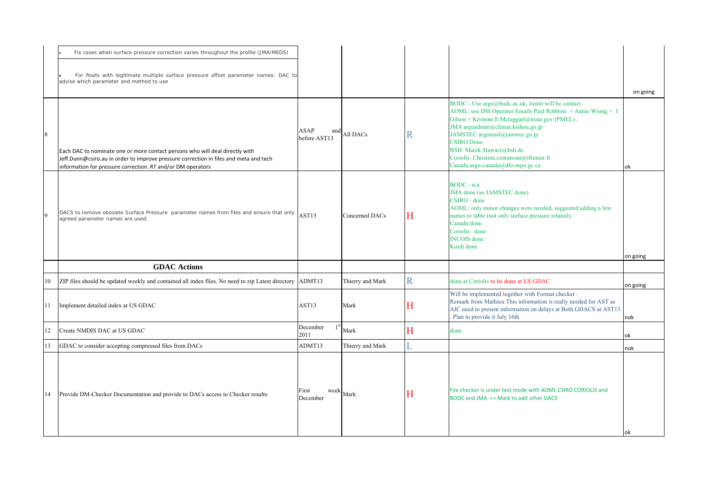|    | Fix cases when surface pressure correction varies throughout the profile (JMA/MEDS)                                                                                                                                                  |                                    |                  |              |                                                                                                                                                                                                                                                                                                                                                                               |          |
|----|--------------------------------------------------------------------------------------------------------------------------------------------------------------------------------------------------------------------------------------|------------------------------------|------------------|--------------|-------------------------------------------------------------------------------------------------------------------------------------------------------------------------------------------------------------------------------------------------------------------------------------------------------------------------------------------------------------------------------|----------|
|    | For floats with legitimate multiple surface pressure offset parameter names: DAC to<br>advise which parameter and method to use                                                                                                      |                                    |                  |              |                                                                                                                                                                                                                                                                                                                                                                               | on going |
| 8  | Each DAC to nominate one or more contact persons who will deal directly with<br>Jeff.Dunn@csiro.au in order to improve pressure correction in files and meta and tech<br>information for pressure correction. RT and/or DM operators | <b>ASAP</b><br>and<br>before AST13 | All DACs         | $\mathbb{R}$ | BODC - Use argo@bodc.ac.uk, Justin will be contact.<br>AOML: use DM Operator Emails Paul Robbins + Annie Wiong + J<br>Gilson + Kristene.E.Mctaggart@noaa.gov (PMEL),<br>JMA argoadmin@climar.kishou.go.jp<br>JAMSTEC argomail@jamstec.go.jp<br><b>CSIRO</b> Done<br>BSH: Marek.Stawarz@bsh.de<br>Coriolis: Christine.coatanoan@ifremer.fr<br>Canada:argo-canada@dfo-mpo.gc.ca | ok       |
|    | DACS to remove obsolete Surface Pressure parameter names from files and ensure that only<br>agreed parameter names are used.                                                                                                         | AST13                              | Concerned DACs   | H            | $BODC - n/a$<br>JMA done (so JAMSTEC done)<br>CSIRO - done<br>AOML: only minor changes were needed, suggested adding a few<br>names to table (not only surface pressure related);<br>Canada: done<br>Coriolis : done<br><b>INCOIS</b> done<br>Kordi done                                                                                                                      | on going |
|    | <b>GDAC Actions</b>                                                                                                                                                                                                                  |                                    |                  |              |                                                                                                                                                                                                                                                                                                                                                                               |          |
| 10 | ZIP files should be updated weekly and contained all index files. No need to zip Latest directory ADMT13                                                                                                                             |                                    | Thierry and Mark | $\mathbf R$  | done at Coriolis to be done at US GDAC                                                                                                                                                                                                                                                                                                                                        | on going |
| 11 | Implement detailed index at US GDAC                                                                                                                                                                                                  | AST <sub>13</sub>                  | Mark             | Η            | Will be implemented together with Format checker :<br>Remark from Mathieu This information is really needed for AST as<br>AIC need to present information on delays at Both GDACS at AST13<br>Plan to provide it July 16th                                                                                                                                                    | nok      |
| 12 | Create NMDIS DAC at US GDAC                                                                                                                                                                                                          | December<br>$1^{\rm s}$<br>2011    | Mark             | Η            | done                                                                                                                                                                                                                                                                                                                                                                          | ok       |
| 13 | GDAC to consider accepting compressed files from DACs                                                                                                                                                                                | ADMT13                             | Thierry and Mark | L            |                                                                                                                                                                                                                                                                                                                                                                               | nok      |
| 14 | Provide DM-Checker Documentation and provide to DACs access to Checker results                                                                                                                                                       | weel<br>First<br>December          | Mark             | Н            | File checker is under test mode with AOML CSIRO CORIOLIS and<br>BODC and JMA => Mark to add other DACS                                                                                                                                                                                                                                                                        |          |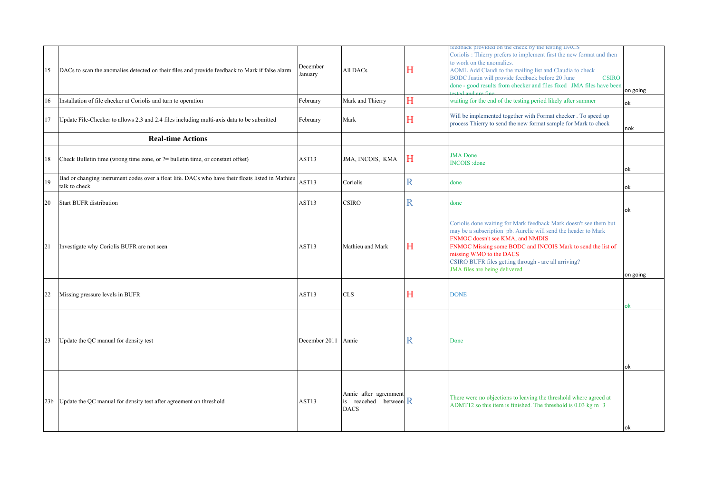| 15 | DACs to scan the anomalies detected on their files and provide feedback to Mark if false alarm                    | December<br>January | All DACs                                                                | Η           | reeaback provided on the check by the testing DACS<br>Coriolis : Thierry prefers to implement first the new format and then<br>to work on the anomalies.<br>AOML Add Claudi to the mailing list and Claudia to check<br>BODC Justin will provide feedback before 20 June<br><b>CSIRO</b><br>done - good results from checker and files fixed JMA files have been<br>stad and ara fina | on going |
|----|-------------------------------------------------------------------------------------------------------------------|---------------------|-------------------------------------------------------------------------|-------------|---------------------------------------------------------------------------------------------------------------------------------------------------------------------------------------------------------------------------------------------------------------------------------------------------------------------------------------------------------------------------------------|----------|
| 16 | Installation of file checker at Coriolis and turn to operation                                                    | February            | Mark and Thierry                                                        | H           | waiting for the end of the testing period likely after summer                                                                                                                                                                                                                                                                                                                         | ok       |
| 17 | Update File-Checker to allows 2.3 and 2.4 files including multi-axis data to be submitted                         | February            | Mark                                                                    | H           | Will be implemented together with Format checker. To speed up<br>process Thierry to send the new format sample for Mark to check                                                                                                                                                                                                                                                      | nok      |
|    | <b>Real-time Actions</b>                                                                                          |                     |                                                                         |             |                                                                                                                                                                                                                                                                                                                                                                                       |          |
| 18 | Check Bulletin time (wrong time zone, or ?= bulletin time, or constant offset)                                    | AST <sub>13</sub>   | JMA, INCOIS, KMA                                                        | Н           | <b>JMA</b> Done<br><b>INCOIS</b> : done                                                                                                                                                                                                                                                                                                                                               | ok       |
| 19 | Bad or changing instrument codes over a float life. DACs who have their floats listed in Mathieu<br>talk to check | AST <sub>13</sub>   | Coriolis                                                                | R           | done                                                                                                                                                                                                                                                                                                                                                                                  | ok       |
| 20 | <b>Start BUFR distribution</b>                                                                                    | AST13               | <b>CSIRO</b>                                                            | R           | done                                                                                                                                                                                                                                                                                                                                                                                  | ok       |
| 21 | Investigate why Coriolis BUFR are not seen                                                                        | AST13               | Mathieu and Mark                                                        | Η           | Coriolis done waiting for Mark feedback Mark doesn't see them but<br>may be a subscription pb. Aurelie will send the header to Mark<br>FNMOC doesn't see KMA, and NMDIS<br>FNMOC Missing some BODC and INCOIS Mark to send the list of<br>missing WMO to the DACS<br>CSIRO BUFR files getting through - are all arriving?<br>JMA files are being delivered                            | on going |
| 22 | Missing pressure levels in BUFR                                                                                   | AST <sub>13</sub>   | <b>CLS</b>                                                              | H           | <b>DONE</b>                                                                                                                                                                                                                                                                                                                                                                           | ok       |
| 23 | Update the QC manual for density test                                                                             | December 2011       | Annie                                                                   | $\mathbb R$ | Done                                                                                                                                                                                                                                                                                                                                                                                  | ok       |
|    | 23b Update the QC manual for density test after agreement on threshold                                            | AST <sub>13</sub>   | Annie after agremment<br>is reacehed between $\mathbf R$<br><b>DACS</b> |             | There were no objections to leaving the threshold where agreed at<br>ADMT12 so this item is finished. The threshold is 0.03 kg m-3                                                                                                                                                                                                                                                    | ok       |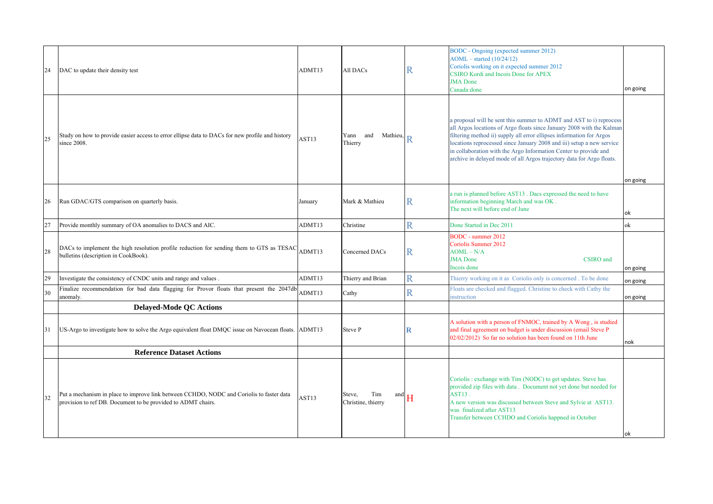| 24 | DAC to update their density test                                                                                                                         | ADMT13            | All DACs                                   | R           | <b>BODC</b> - Ongoing (expected summer 2012)<br>$AOML - started (10/24/12)$<br>Coriolis working on it expected summer 2012<br>CSIRO Kordi and Incois Done for APEX<br><b>JMA</b> Done<br>Canada:done                                                                                                                                                                                                                                       | on going |
|----|----------------------------------------------------------------------------------------------------------------------------------------------------------|-------------------|--------------------------------------------|-------------|--------------------------------------------------------------------------------------------------------------------------------------------------------------------------------------------------------------------------------------------------------------------------------------------------------------------------------------------------------------------------------------------------------------------------------------------|----------|
| 25 | Study on how to provide easier access to error ellipse data to DACs for new profile and history<br>since 2008.                                           | AST13             | Yann and Mathieu,<br>Thierry               |             | a proposal will be sent this summer to ADMT and AST to i) reprocess<br>all Argos locations of Argo floats since January 2008 with the Kalman<br>filtering method ii) supply all error ellipses information for Argos<br>locations reprocessed since January 2008 and iii) setup a new service<br>in collaboration with the Argo Information Center to provide and<br>archive in delayed mode of all Argos trajectory data for Argo floats. | on going |
| 26 | Run GDAC/GTS comparison on quarterly basis.                                                                                                              | January           | Mark & Mathieu                             | R           | a run is planned before AST13. Dacs expressed the need to have<br>information beginning March and was OK.<br>The next will before end of June                                                                                                                                                                                                                                                                                              | ok       |
| 27 | Provide monthly summary of OA anomalies to DACS and AIC.                                                                                                 | ADMT13            | Christine                                  | Ŕ           | Done Started in Dec 2011                                                                                                                                                                                                                                                                                                                                                                                                                   | ok       |
| 28 | DACs to implement the high resolution profile reduction for sending them to GTS as TESAC<br>bulletins (description in CookBook).                         | ADMT13            | Concerned DACs                             | R           | <b>BODC</b> - summer 2012<br>Coriolis Summer 2012<br>$AOML - N/A$<br><b>JMA</b> Done<br>CSIRO and<br>Incois done                                                                                                                                                                                                                                                                                                                           | on going |
| 29 | Investigate the consistency of CNDC units and range and values.                                                                                          | ADMT13            | Thierry and Brian                          | Ŕ           | Thierry working on it as Coriolis only is concerned. To be done                                                                                                                                                                                                                                                                                                                                                                            | on going |
| 30 | Finalize recommendation for bad data flagging for Provor floats that present the 2047db<br>anomaly.                                                      | ADMT13            | Cathy                                      | R.          | Floats are checked and flagged. Christine to check with Cathy the<br>instruction                                                                                                                                                                                                                                                                                                                                                           | on going |
|    | <b>Delayed-Mode QC Actions</b>                                                                                                                           |                   |                                            |             |                                                                                                                                                                                                                                                                                                                                                                                                                                            |          |
| 31 | US-Argo to investigate how to solve the Argo equivalent float DMQC issue on Navocean floats.                                                             | ADMT13            | Steve P                                    | $\mathbf R$ | A solution with a person of FNMOC, trained by A Wong, is studied<br>and final agreement on budget is under discussion (email Steve P<br>02/02/2012) So far no solution has been found on 11th June                                                                                                                                                                                                                                         | nok      |
|    | <b>Reference Dataset Actions</b>                                                                                                                         |                   |                                            |             |                                                                                                                                                                                                                                                                                                                                                                                                                                            |          |
| 32 | Put a mechanism in place to improve link between CCHDO, NODC and Coriolis to faster data<br>provision to ref DB. Document to be provided to ADMT chairs. | AST <sub>13</sub> | Tim<br>Steve,<br>and<br>Christine, thierry | H           | Coriolis: exchange with Tim (NODC) to get updates. Steve has<br>provided zip files with data. Document not yet done but needed for<br>AST13.<br>A new version was discussed between Steve and Sylvie at AST13.<br>was finalized after AST13<br>Transfer between CCHDO and Coriolis happned in October                                                                                                                                      | lok      |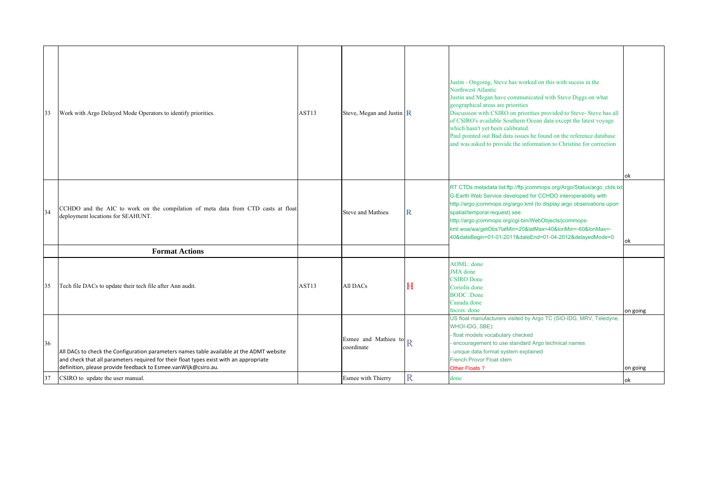| 33       | Work with Argo Delayed Mode Operators to identify priorities.                                                                                                                                                                                                                            | AST13             | Steve, Megan and Justin $\ $ <b>R</b>                                        |   | Justin - Ongoing, Steve has worked on this with sucess in the<br>Northwest Atlantic<br>Justin and Megan have communicated with Steve Diggs on what<br>geographical areas are priorities<br>Discussion with CSIRO on priorities provided to Steve- Steve has all<br>of CSIRO's available Southern Ocean data except the latest voyage<br>which hasn't yet been calibrated.<br>Paul pointed out Bad data issues he found on the reference database<br>and was asked to provide the information to Christine for correction | ok       |
|----------|------------------------------------------------------------------------------------------------------------------------------------------------------------------------------------------------------------------------------------------------------------------------------------------|-------------------|------------------------------------------------------------------------------|---|--------------------------------------------------------------------------------------------------------------------------------------------------------------------------------------------------------------------------------------------------------------------------------------------------------------------------------------------------------------------------------------------------------------------------------------------------------------------------------------------------------------------------|----------|
| 34       | CCHDO and the AIC to work on the compilation of meta data from CTD casts at float<br>deployment locations for SEAHUNT.                                                                                                                                                                   |                   | Steve and Mathieu                                                            | R | RT CTDs metadata list:ftp://ftp.jcommops.org/Argo/Status/argo_ctds.txt<br>G-Earth Web Service developed for CCHDO interoperability with<br>http://argo.jcommops.org/argo.kml (to display argo observations upon<br>spatial/temporal request) see<br>http://argo.jcommops.org/cgi-bin/WebObjects/jcommops-<br>kml.woa/wa/getObs?latMin=20&latMax=40&lonMin=-60&lonMax=-<br>40&dateBegin=01-01-2011&dateEnd=01-04-2012&delayedMode=0                                                                                       | ok       |
|          | <b>Format Actions</b>                                                                                                                                                                                                                                                                    |                   |                                                                              |   |                                                                                                                                                                                                                                                                                                                                                                                                                                                                                                                          |          |
| 35       | Tech file DACs to update their tech file after Ann audit.                                                                                                                                                                                                                                | AST <sub>13</sub> | All DACs                                                                     | Н | AOML: done<br><b>JMA</b> done<br><b>CSIRO</b> Done<br>Coriolis done<br><b>BODC</b> : Done<br>Canada: done<br>Incois: done                                                                                                                                                                                                                                                                                                                                                                                                | on going |
| 36<br>37 | All DACs to check the Configuration parameters names table available at the ADMT website<br>and check that all parameters required for their float types exist with an appropriate<br>definition, please provide feedback to Esmee.vanWIjk@csiro.au.<br>CSIRO to update the user manual. |                   | Esmee and Mathieu to $\mathbb{R}$<br>coordinate<br><b>Esmee with Thierry</b> | Ŕ | US float manufacturers visited by Argo TC (SIO-IDG, MRV, Teledyne,<br>WHOI-IDG, SBE):<br>float models vocabulary checked<br>encouragement to use standard Argo technical names<br>unique data format system explained<br>French Provor Float idem<br>Other Floats?<br>done                                                                                                                                                                                                                                               | on going |
|          |                                                                                                                                                                                                                                                                                          |                   |                                                                              |   |                                                                                                                                                                                                                                                                                                                                                                                                                                                                                                                          | ok       |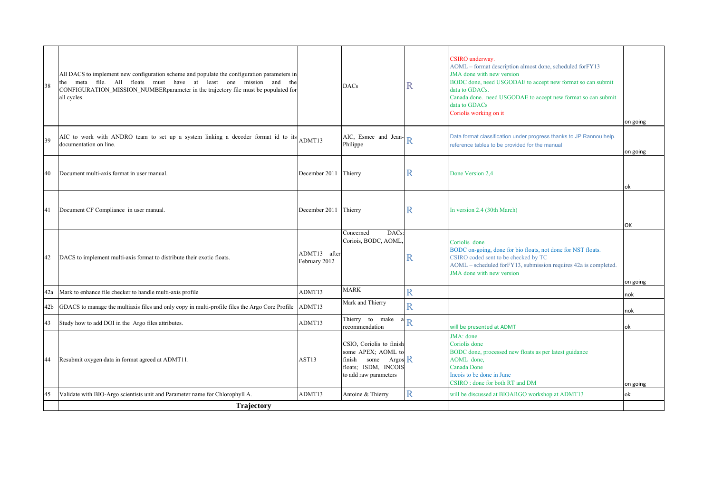| 38              | All DACS to implement new configuration scheme and populate the configuration parameters in<br>meta file. All floats must have at least one mission and<br>the<br>the<br>CONFIGURATION MISSION NUMBER parameter in the trajectory file must be populated for<br>all cycles. |                               | <b>DACs</b>                                                                                                                          | R                       | CSIRO underway.<br>AOML - format description almost done, scheduled forFY13<br>JMA done with new version<br>BODC done, need USGODAE to accept new format so can submit<br>data to GDACs.<br>Canada done. need USGODAE to accept new format so can submit<br>data to GDACs<br>Coriolis working on it | on going |
|-----------------|-----------------------------------------------------------------------------------------------------------------------------------------------------------------------------------------------------------------------------------------------------------------------------|-------------------------------|--------------------------------------------------------------------------------------------------------------------------------------|-------------------------|-----------------------------------------------------------------------------------------------------------------------------------------------------------------------------------------------------------------------------------------------------------------------------------------------------|----------|
| 39              | AIC to work with ANDRO team to set up a system linking a decoder format id to its<br>documentation on line.                                                                                                                                                                 | ADMT13                        | AIC, Esmee and Jean-<br>Philippe                                                                                                     | R                       | Data format classification under progress thanks to JP Rannou help.<br>reference tables to be provided for the manual                                                                                                                                                                               | on going |
| 40              | Document multi-axis format in user manual.                                                                                                                                                                                                                                  | December 2011                 | Thierry                                                                                                                              | R                       | Done Version 2,4                                                                                                                                                                                                                                                                                    | ok       |
| 41              | Document CF Compliance in user manual.                                                                                                                                                                                                                                      | December 2011                 | Thierry                                                                                                                              | R                       | In version 2.4 (30th March)                                                                                                                                                                                                                                                                         | OK       |
| 42              | DACS to implement multi-axis format to distribute their exotic floats.                                                                                                                                                                                                      | ADMT13 after<br>February 2012 | DACs:<br>Concerned<br>Coriois, BODC, AOML                                                                                            | R                       | Coriolis done<br>BODC on-going, done for bio floats, not done for NST floats.<br>CSIRO coded sent to be checked by TC<br>AOML - scheduled for FY13, submission requires 42a is completed.<br>JMA done with new version                                                                              | on going |
| 42a             | Mark to enhance file checker to handle multi-axis profile                                                                                                                                                                                                                   | ADMT13                        | <b>MARK</b>                                                                                                                          | R                       |                                                                                                                                                                                                                                                                                                     | nok      |
| 42 <sub>b</sub> | GDACS to manage the multiaxis files and only copy in multi-profile files the Argo Core Profile                                                                                                                                                                              | ADMT13                        | Mark and Thierry                                                                                                                     | $\overline{\text{R}}$   |                                                                                                                                                                                                                                                                                                     | nok      |
| 43              | Study how to add DOI in the Argo files attributes.                                                                                                                                                                                                                          | ADMT13                        | Thierry to make<br>recommendation                                                                                                    | $\overline{\text{R}}$   | will be presented at ADMT                                                                                                                                                                                                                                                                           | lok      |
| 44              | Resubmit oxygen data in format agreed at ADMT11.                                                                                                                                                                                                                            | AST <sub>13</sub>             | CSIO, Coriolis to finish<br>some APEX; AOML to<br>some Argos $\mathsf{R}$<br>finish<br>floats; ISDM, INCOIS<br>to add raw parameters |                         | JMA: done<br>Coriolis done<br>BODC done, processed new floats as per latest guidance<br>AOML done,<br>Canada Done<br>Incois to be done in June<br>CSIRO: done for both RT and DM                                                                                                                    | on going |
| 45              | Validate with BIO-Argo scientists unit and Parameter name for Chlorophyll A.                                                                                                                                                                                                | ADMT13                        | Antoine & Thierry                                                                                                                    | $\overline{\mathrm{R}}$ | will be discussed at BIOARGO workshop at ADMT13                                                                                                                                                                                                                                                     | ok       |
|                 | Trajectory                                                                                                                                                                                                                                                                  |                               |                                                                                                                                      |                         |                                                                                                                                                                                                                                                                                                     |          |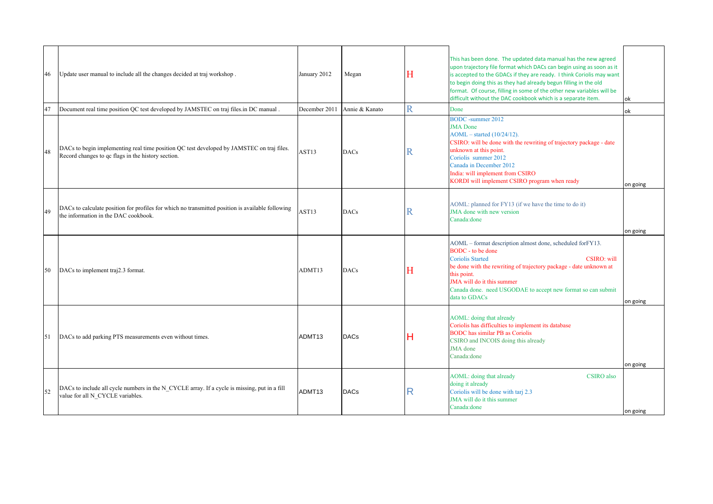| 46 | Update user manual to include all the changes decided at traj workshop.                                                                         | January 2012      | Megan          | Н | This has been done. The updated data manual has the new agreed<br>upon trajectory file format which DACs can begin using as soon as it<br>is accepted to the GDACs if they are ready. I think Coriolis may want<br>to begin doing this as they had already begun filling in the old<br>format. Of course, filling in some of the other new variables will be<br>difficult without the DAC cookbook which is a separate item. | ok       |
|----|-------------------------------------------------------------------------------------------------------------------------------------------------|-------------------|----------------|---|------------------------------------------------------------------------------------------------------------------------------------------------------------------------------------------------------------------------------------------------------------------------------------------------------------------------------------------------------------------------------------------------------------------------------|----------|
| 47 | Document real time position QC test developed by JAMSTEC on traj files in DC manual.                                                            | December 2011     | Annie & Kanato | R | Done                                                                                                                                                                                                                                                                                                                                                                                                                         | ok       |
| 48 | DACs to begin implementing real time position QC test developed by JAMSTEC on traj files.<br>Record changes to gc flags in the history section. | AST <sub>13</sub> | <b>DACs</b>    | R | <b>BODC</b> -summer 2012<br><b>JMA</b> Done<br>$AOML - started (10/24/12).$<br>CSIRO: will be done with the rewriting of trajectory package - date<br>unknown at this point.<br>Coriolis summer 2012<br>Canada in December 2012<br>India: will implement from CSIRO<br>KORDI will implement CSIRO program when ready                                                                                                         | on going |
| 49 | DACs to calculate position for profiles for which no transmitted position is available following<br>the information in the DAC cookbook.        | AST <sub>13</sub> | <b>DACs</b>    | R | AOML: planned for FY13 (if we have the time to do it)<br>JMA done with new version<br>Canada: done                                                                                                                                                                                                                                                                                                                           | on going |
| 50 | DACs to implement traj2.3 format.                                                                                                               | ADMT13            | <b>DACs</b>    | H | AOML – format description almost done, scheduled for FY13.<br>BODC - to be done<br><b>Coriolis Started</b><br>CSIRO: will<br>be done with the rewriting of trajectory package - date unknown at<br>this point.<br>JMA will do it this summer<br>Canada done. need USGODAE to accept new format so can submit<br>data to GDACs                                                                                                | on going |
| 51 | DACs to add parking PTS measurements even without times.                                                                                        | ADMT13            | <b>DACs</b>    | Н | AOML: doing that already<br>Coriolis has difficulties to implement its database<br><b>BODC</b> has similar PB as Coriolis<br>CSIRO and INCOIS doing this already<br>JMA done<br>Canada: done                                                                                                                                                                                                                                 | on going |
| 52 | DACs to include all cycle numbers in the N CYCLE array. If a cycle is missing, put in a fill<br>value for all N CYCLE variables.                | ADMT13            | <b>DACs</b>    | R | AOML: doing that already<br><b>CSIRO</b> also<br>doing it already<br>Coriolis will be done with tarj 2.3<br>JMA will do it this summer<br>Canada: done                                                                                                                                                                                                                                                                       | on going |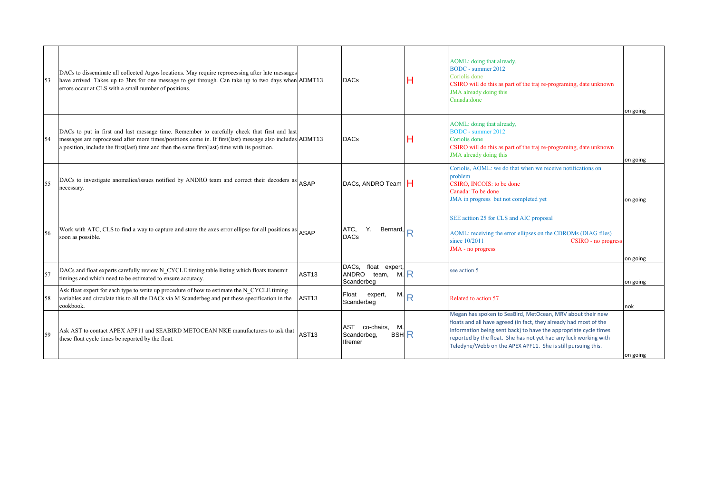|     | DACs to disseminate all collected Argos locations. May require reprocessing after late messages<br>have arrived. Takes up to 3hrs for one message to get through. Can take up to two days when ADMT13<br>errors occur at CLS with a small number of positions.                                            |                   | <b>DACs</b>                                                       | Н | AOML: doing that already,<br><b>BODC</b> - summer 2012<br>Coriolis done<br>CSIRO will do this as part of the traj re-programing, date unknown<br>JMA already doing this<br>Canada: done                                                                                                                                                 | on going |
|-----|-----------------------------------------------------------------------------------------------------------------------------------------------------------------------------------------------------------------------------------------------------------------------------------------------------------|-------------------|-------------------------------------------------------------------|---|-----------------------------------------------------------------------------------------------------------------------------------------------------------------------------------------------------------------------------------------------------------------------------------------------------------------------------------------|----------|
| 54  | DACs to put in first and last message time. Remember to carefully check that first and last<br>messages are reprocessed after more times/positions come in. If first(last) message also includes ADMT13<br>a position, include the first(last) time and then the same first(last) time with its position. |                   | <b>DACs</b>                                                       | Н | AOML: doing that already,<br><b>BODC</b> - summer 2012<br>Coriolis done<br>CSIRO will do this as part of the traj re-programing, date unknown<br>JMA already doing this                                                                                                                                                                 | on going |
| 55  | DACs to investigate anomalies/issues notified by ANDRO team and correct their decoders as ASAP<br>necessary.                                                                                                                                                                                              |                   | DACs, ANDRO Team   H                                              |   | Coriolis, AOML: we do that when we receive notifications on<br>problem<br>CSIRO. INCOIS: to be done<br>Canada: To be done<br>JMA in progress but not completed yet                                                                                                                                                                      | on going |
| .56 | Work with ATC, CLS to find a way to capture and store the axes error ellipse for all positions as ASAP<br>soon as possible.                                                                                                                                                                               |                   | ATC.<br>Y.<br>Bernard,<br><b>DACs</b>                             | R | SEE acttion 25 for CLS and AIC proposal<br>AOML: receiving the error ellipses on the CDROMs (DIAG files)<br>since 10/2011<br>CSIRO - no progress<br>JMA - no progress                                                                                                                                                                   | on going |
| 57  | DACs and float experts carefully review N CYCLE timing table listing which floats transmit<br>timings and which need to be estimated to ensure accuracy.                                                                                                                                                  | AST <sub>13</sub> | DACs.<br>float expert,<br>M.R<br>ANDRO team,<br>Scanderbeg        |   | see action 5                                                                                                                                                                                                                                                                                                                            | on going |
|     | Ask float expert for each type to write up procedure of how to estimate the N CYCLE timing<br>variables and circulate this to all the DACs via M Scanderbeg and put these specification in the<br>cookbook.                                                                                               | AST <sub>13</sub> | Float<br>M.<br>expert,<br>Scanderbeg                              | Ŕ | Related to action 57                                                                                                                                                                                                                                                                                                                    | nok      |
| 59  | Ask AST to contact APEX APF11 and SEABIRD METOCEAN NKE manufacturers to ask that AST13<br>these float cycle times be reported by the float.                                                                                                                                                               |                   | co-chairs,<br>AST<br>M.<br><b>BSH R</b><br>Scanderbeg,<br>Ifremer |   | Megan has spoken to SeaBird, MetOcean, MRV about their new<br>floats and all have agreed (in fact, they already had most of the<br>information being sent back) to have the appropriate cycle times<br>reported by the float. She has not yet had any luck working with<br>Teledyne/Webb on the APEX APF11. She is still pursuing this. | on going |